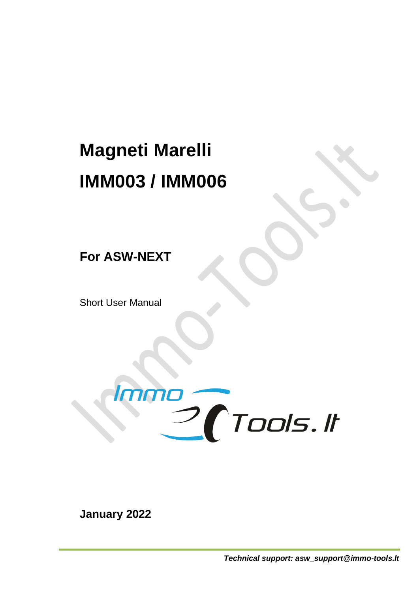## **Magneti Marelli IMM003 / IMM006**

**For ASW-NEXT**

Short User Manual



**January 2022**

*Technical support: asw\_support@immo-tools.lt*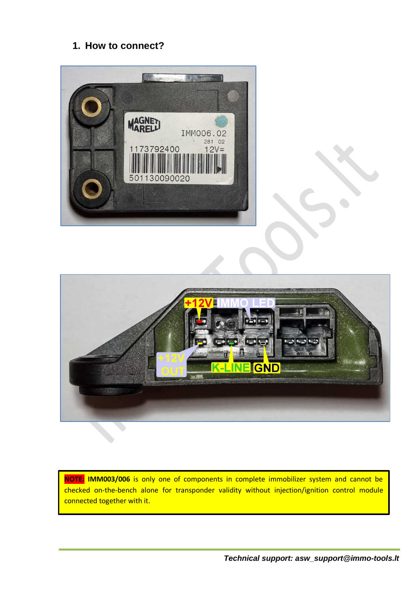## **1. How to connect?**





**NOTE: IMM003/006** is only one of components in complete immobilizer system and cannot be checked on-the-bench alone for transponder validity without injection/ignition control module connected together with it.